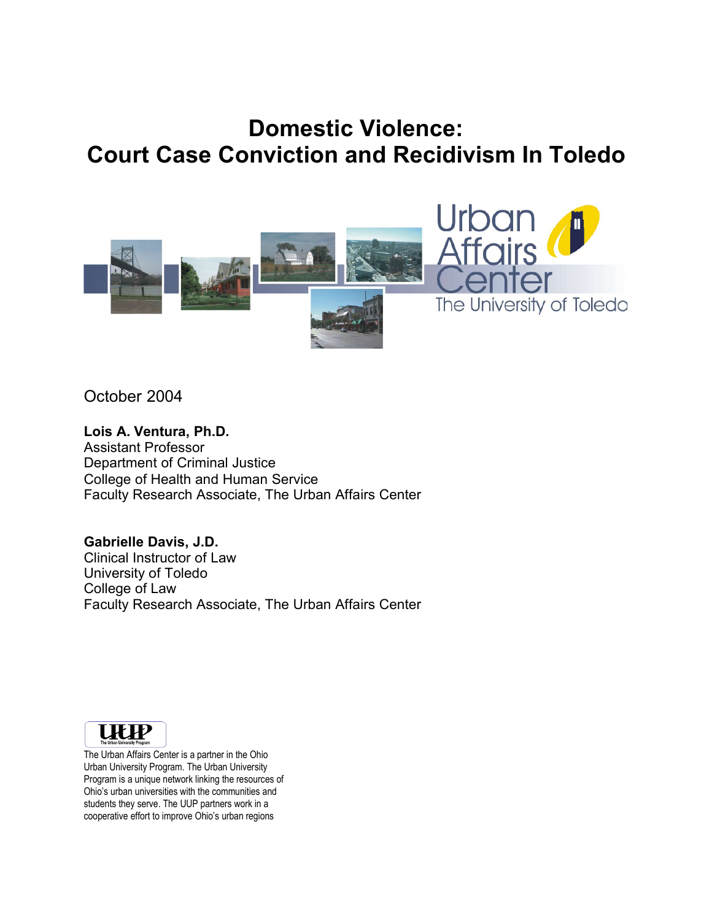# **Domestic Violence: Court Case Conviction and Recidivism In Toledo**



October 2004

#### **Lois A. Ventura, Ph.D.**

Assistant Professor Department of Criminal Justice College of Health and Human Service Faculty Research Associate, The Urban Affairs Center

**Gabrielle Davis, J.D.** Clinical Instructor of Law University of Toledo College of Law Faculty Research Associate, The Urban Affairs Center



The Urban Affairs Center is a partner in the Ohio Urban University Program. The Urban University Program is a unique network linking the resources of Ohio's urban universities with the communities and students they serve. The UUP partners work in a cooperative effort to improve Ohio's urban regions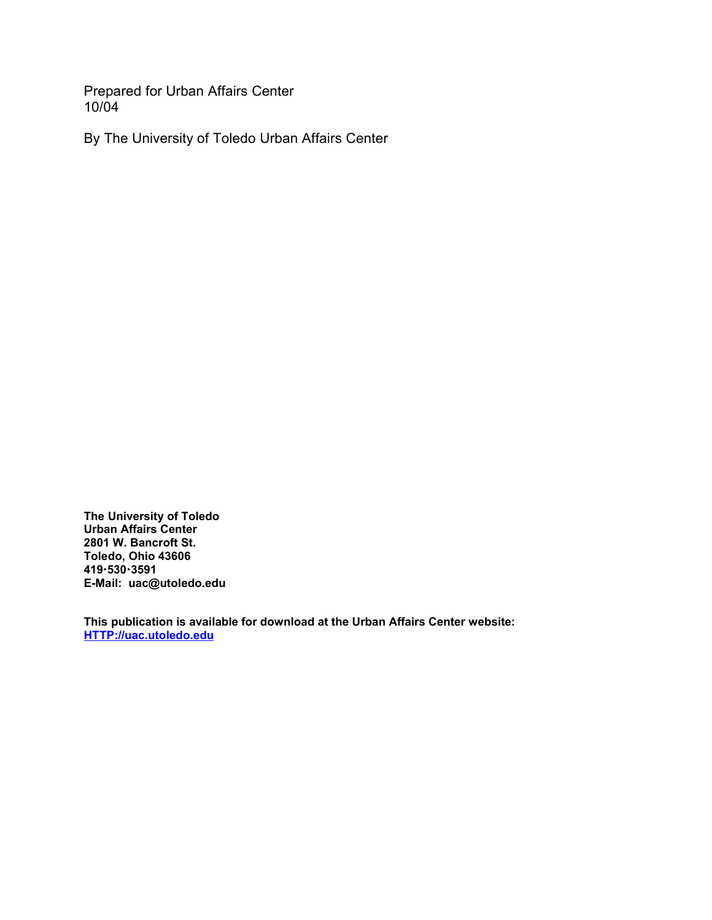Prepared for Urban Affairs Center 10/04

By The University of Toledo Urban Affairs Center

**The University of Toledo Urban Affairs Center 2801 W. Bancroft St. Toledo, Ohio 43606 4195303591 E-Mail: uac@utoledo.edu**

**This publication is available for download at the Urban Affairs Center website: HTTP://uac.utoledo.edu**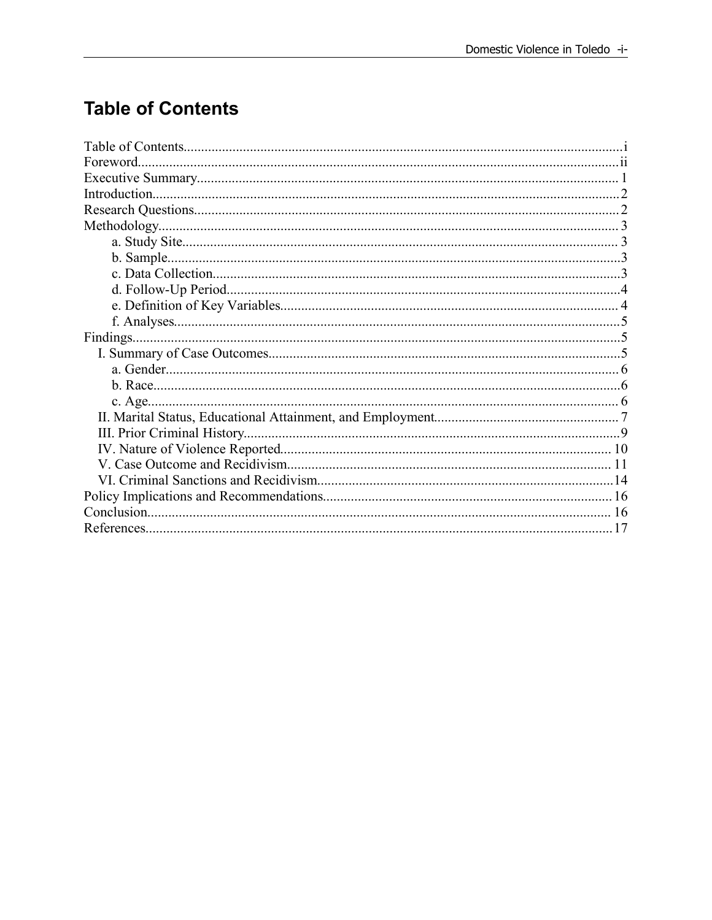## **Table of Contents**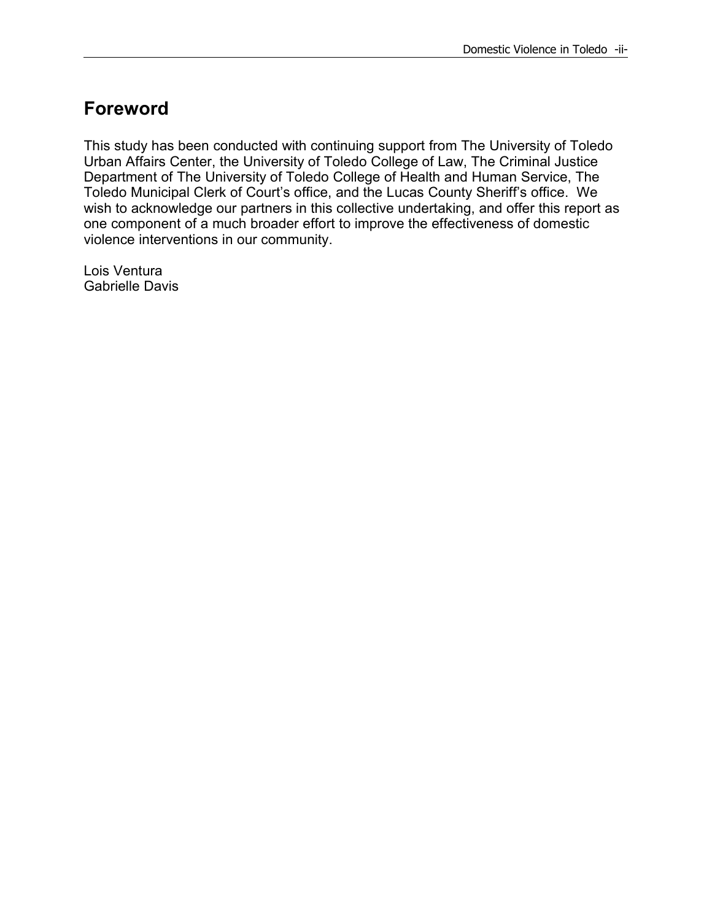## **Foreword**

This study has been conducted with continuing support from The University of Toledo Urban Affairs Center, the University of Toledo College of Law, The Criminal Justice Department of The University of Toledo College of Health and Human Service, The Toledo Municipal Clerk of Court's office, and the Lucas County Sheriff's office. We wish to acknowledge our partners in this collective undertaking, and offer this report as one component of a much broader effort to improve the effectiveness of domestic violence interventions in our community.

Lois Ventura Gabrielle Davis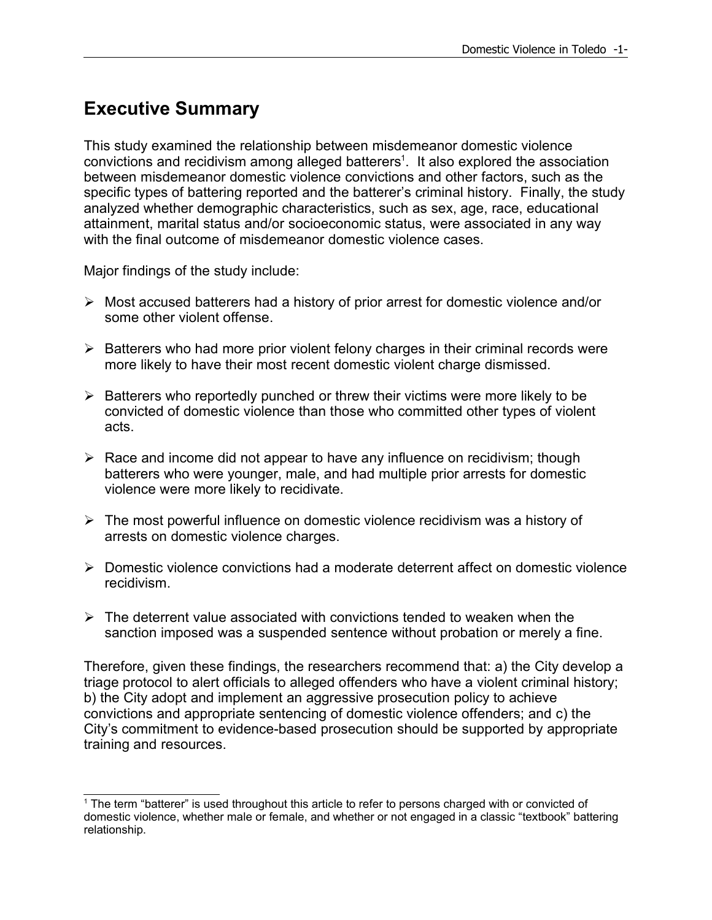## **Executive Summary**

This study examined the relationship between misdemeanor domestic violence convictions and recidivism among alleged batterers<sup>1</sup>. It also explored the association between misdemeanor domestic violence convictions and other factors, such as the specific types of battering reported and the batterer's criminal history. Finally, the study analyzed whether demographic characteristics, such as sex, age, race, educational attainment, marital status and/or socioeconomic status, were associated in any way with the final outcome of misdemeanor domestic violence cases.

Major findings of the study include:

- $\triangleright$  Most accused batterers had a history of prior arrest for domestic violence and/or some other violent offense.
- $\triangleright$  Batterers who had more prior violent felony charges in their criminal records were more likely to have their most recent domestic violent charge dismissed.
- $\triangleright$  Batterers who reportedly punched or threw their victims were more likely to be convicted of domestic violence than those who committed other types of violent acts.
- $\triangleright$  Race and income did not appear to have any influence on recidivism; though batterers who were younger, male, and had multiple prior arrests for domestic violence were more likely to recidivate.
- $\triangleright$  The most powerful influence on domestic violence recidivism was a history of arrests on domestic violence charges.
- Domestic violence convictions had a moderate deterrent affect on domestic violence recidivism.
- $\triangleright$  The deterrent value associated with convictions tended to weaken when the sanction imposed was a suspended sentence without probation or merely a fine.

Therefore, given these findings, the researchers recommend that: a) the City develop a triage protocol to alert officials to alleged offenders who have a violent criminal history; b) the City adopt and implement an aggressive prosecution policy to achieve convictions and appropriate sentencing of domestic violence offenders; and c) the City's commitment to evidence-based prosecution should be supported by appropriate training and resources.

<sup>&</sup>lt;sup>1</sup> The term "batterer" is used throughout this article to refer to persons charged with or convicted of domestic violence, whether male or female, and whether or not engaged in a classic "textbook" battering relationship.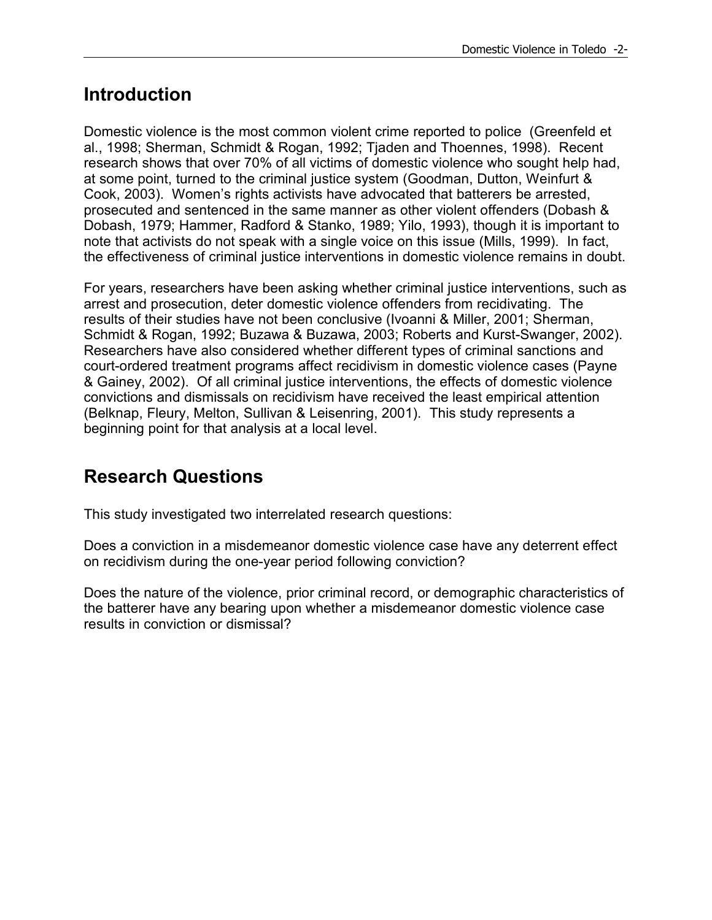## **Introduction**

Domestic violence is the most common violent crime reported to police (Greenfeld et al., 1998; Sherman, Schmidt & Rogan, 1992; Tjaden and Thoennes, 1998). Recent research shows that over 70% of all victims of domestic violence who sought help had, at some point, turned to the criminal justice system (Goodman, Dutton, Weinfurt & Cook, 2003). Women's rights activists have advocated that batterers be arrested, prosecuted and sentenced in the same manner as other violent offenders (Dobash & Dobash, 1979; Hammer, Radford & Stanko, 1989; Yilo, 1993), though it is important to note that activists do not speak with a single voice on this issue (Mills, 1999). In fact, the effectiveness of criminal justice interventions in domestic violence remains in doubt.

For years, researchers have been asking whether criminal justice interventions, such as arrest and prosecution, deter domestic violence offenders from recidivating. The results of their studies have not been conclusive (Ivoanni & Miller, 2001; Sherman, Schmidt & Rogan, 1992; Buzawa & Buzawa, 2003; Roberts and Kurst-Swanger, 2002). Researchers have also considered whether different types of criminal sanctions and court-ordered treatment programs affect recidivism in domestic violence cases (Payne & Gainey, 2002). Of all criminal justice interventions, the effects of domestic violence convictions and dismissals on recidivism have received the least empirical attention (Belknap, Fleury, Melton, Sullivan & Leisenring, 2001). This study represents a beginning point for that analysis at a local level.

## **Research Questions**

This study investigated two interrelated research questions:

Does a conviction in a misdemeanor domestic violence case have any deterrent effect on recidivism during the one-year period following conviction?

Does the nature of the violence, prior criminal record, or demographic characteristics of the batterer have any bearing upon whether a misdemeanor domestic violence case results in conviction or dismissal?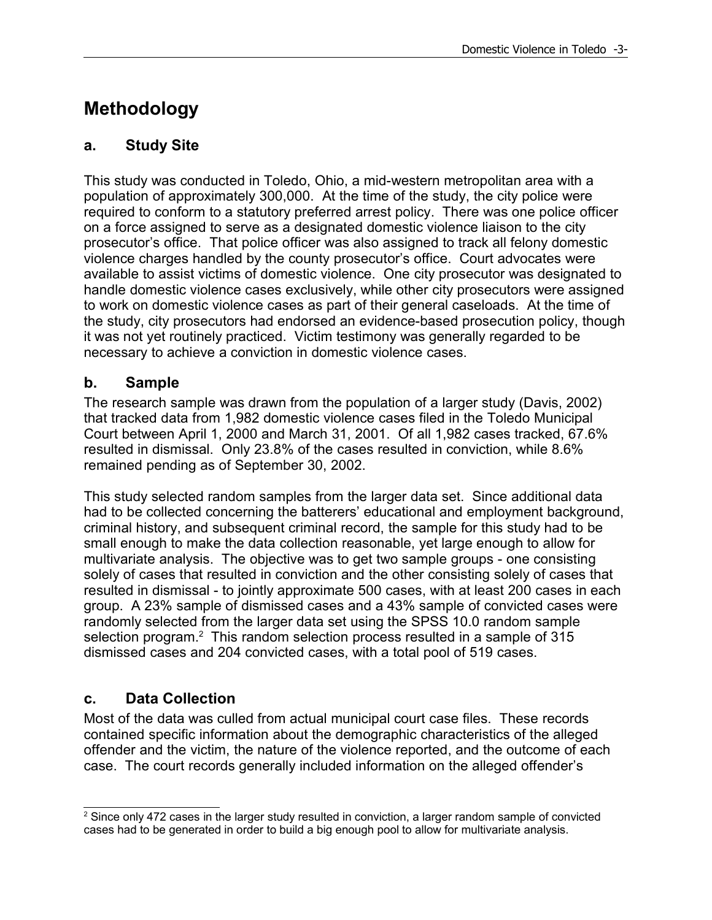## **Methodology**

### **a. Study Site**

This study was conducted in Toledo, Ohio, a mid-western metropolitan area with a population of approximately 300,000. At the time of the study, the city police were required to conform to a statutory preferred arrest policy. There was one police officer on a force assigned to serve as a designated domestic violence liaison to the city prosecutor's office. That police officer was also assigned to track all felony domestic violence charges handled by the county prosecutor's office. Court advocates were available to assist victims of domestic violence. One city prosecutor was designated to handle domestic violence cases exclusively, while other city prosecutors were assigned to work on domestic violence cases as part of their general caseloads. At the time of the study, city prosecutors had endorsed an evidence-based prosecution policy, though it was not yet routinely practiced. Victim testimony was generally regarded to be necessary to achieve a conviction in domestic violence cases.

### **b. Sample**

The research sample was drawn from the population of a larger study (Davis, 2002) that tracked data from 1,982 domestic violence cases filed in the Toledo Municipal Court between April 1, 2000 and March 31, 2001. Of all 1,982 cases tracked, 67.6% resulted in dismissal. Only 23.8% of the cases resulted in conviction, while 8.6% remained pending as of September 30, 2002.

This study selected random samples from the larger data set. Since additional data had to be collected concerning the batterers' educational and employment background, criminal history, and subsequent criminal record, the sample for this study had to be small enough to make the data collection reasonable, yet large enough to allow for multivariate analysis. The objective was to get two sample groups - one consisting solely of cases that resulted in conviction and the other consisting solely of cases that resulted in dismissal - to jointly approximate 500 cases, with at least 200 cases in each group. A 23% sample of dismissed cases and a 43% sample of convicted cases were randomly selected from the larger data set using the SPSS 10.0 random sample selection program.<sup>2</sup> This random selection process resulted in a sample of 315 dismissed cases and 204 convicted cases, with a total pool of 519 cases.

### **c. Data Collection**

Most of the data was culled from actual municipal court case files. These records contained specific information about the demographic characteristics of the alleged offender and the victim, the nature of the violence reported, and the outcome of each case. The court records generally included information on the alleged offender's

<sup>&</sup>lt;sup>2</sup> Since only 472 cases in the larger study resulted in conviction, a larger random sample of convicted cases had to be generated in order to build a big enough pool to allow for multivariate analysis.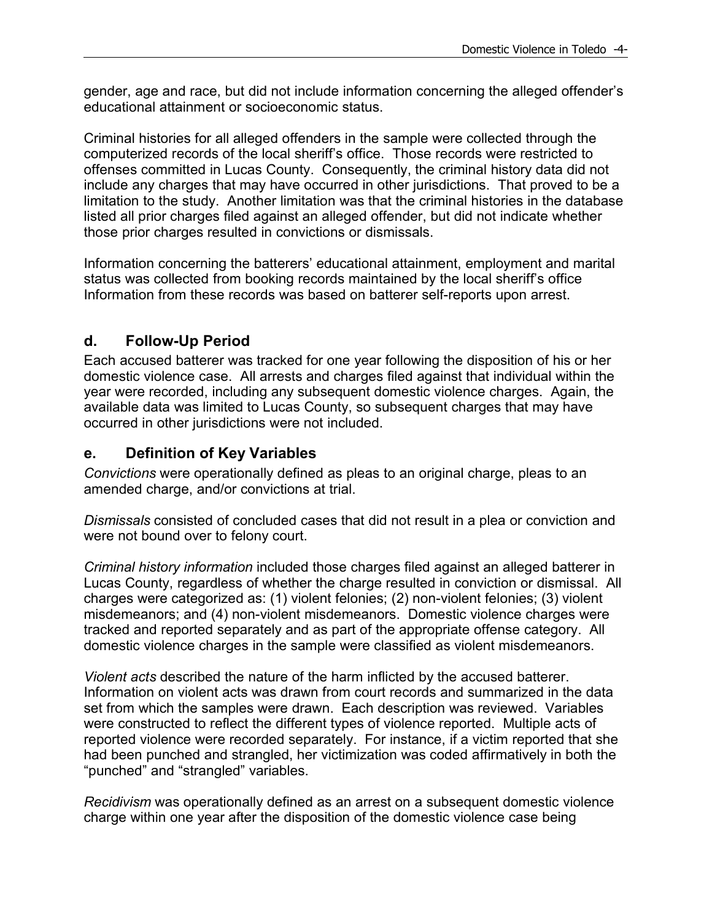gender, age and race, but did not include information concerning the alleged offender's educational attainment or socioeconomic status.

Criminal histories for all alleged offenders in the sample were collected through the computerized records of the local sheriff's office. Those records were restricted to offenses committed in Lucas County. Consequently, the criminal history data did not include any charges that may have occurred in other jurisdictions. That proved to be a limitation to the study. Another limitation was that the criminal histories in the database listed all prior charges filed against an alleged offender, but did not indicate whether those prior charges resulted in convictions or dismissals.

Information concerning the batterers' educational attainment, employment and marital status was collected from booking records maintained by the local sheriff's office Information from these records was based on batterer self-reports upon arrest.

### **d. Follow-Up Period**

Each accused batterer was tracked for one year following the disposition of his or her domestic violence case. All arrests and charges filed against that individual within the year were recorded, including any subsequent domestic violence charges. Again, the available data was limited to Lucas County, so subsequent charges that may have occurred in other jurisdictions were not included.

### **e. Definition of Key Variables**

*Convictions* were operationally defined as pleas to an original charge, pleas to an amended charge, and/or convictions at trial.

*Dismissals* consisted of concluded cases that did not result in a plea or conviction and were not bound over to felony court.

*Criminal history information* included those charges filed against an alleged batterer in Lucas County, regardless of whether the charge resulted in conviction or dismissal. All charges were categorized as: (1) violent felonies; (2) non-violent felonies; (3) violent misdemeanors; and (4) non-violent misdemeanors. Domestic violence charges were tracked and reported separately and as part of the appropriate offense category. All domestic violence charges in the sample were classified as violent misdemeanors.

*Violent acts* described the nature of the harm inflicted by the accused batterer. Information on violent acts was drawn from court records and summarized in the data set from which the samples were drawn. Each description was reviewed. Variables were constructed to reflect the different types of violence reported. Multiple acts of reported violence were recorded separately. For instance, if a victim reported that she had been punched and strangled, her victimization was coded affirmatively in both the "punched" and "strangled" variables.

*Recidivism* was operationally defined as an arrest on a subsequent domestic violence charge within one year after the disposition of the domestic violence case being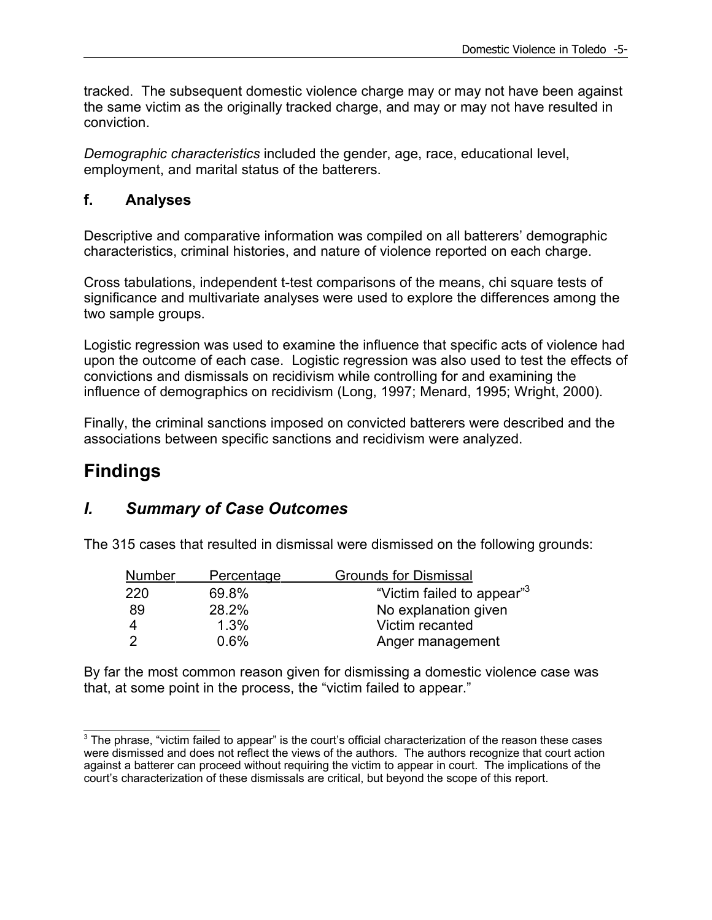tracked. The subsequent domestic violence charge may or may not have been against the same victim as the originally tracked charge, and may or may not have resulted in conviction.

*Demographic characteristics* included the gender, age, race, educational level, employment, and marital status of the batterers.

### **f. Analyses**

Descriptive and comparative information was compiled on all batterers' demographic characteristics, criminal histories, and nature of violence reported on each charge.

Cross tabulations, independent t-test comparisons of the means, chi square tests of significance and multivariate analyses were used to explore the differences among the two sample groups.

Logistic regression was used to examine the influence that specific acts of violence had upon the outcome of each case. Logistic regression was also used to test the effects of convictions and dismissals on recidivism while controlling for and examining the influence of demographics on recidivism (Long, 1997; Menard, 1995; Wright, 2000).

Finally, the criminal sanctions imposed on convicted batterers were described and the associations between specific sanctions and recidivism were analyzed.

## **Findings**

### *I. Summary of Case Outcomes*

The 315 cases that resulted in dismissal were dismissed on the following grounds:

| <b>Number</b> | Percentage | <b>Grounds for Dismissal</b>           |
|---------------|------------|----------------------------------------|
| 220           | 69.8%      | "Victim failed to appear" <sup>3</sup> |
| 89            | 28.2%      | No explanation given                   |
|               | 1.3%       | Victim recanted                        |
|               | 0.6%       | Anger management                       |

By far the most common reason given for dismissing a domestic violence case was that, at some point in the process, the "victim failed to appear."

<sup>&</sup>lt;sup>3</sup> The phrase, "victim failed to appear" is the court's official characterization of the reason these cases were dismissed and does not reflect the views of the authors. The authors recognize that court action against a batterer can proceed without requiring the victim to appear in court. The implications of the court's characterization of these dismissals are critical, but beyond the scope of this report.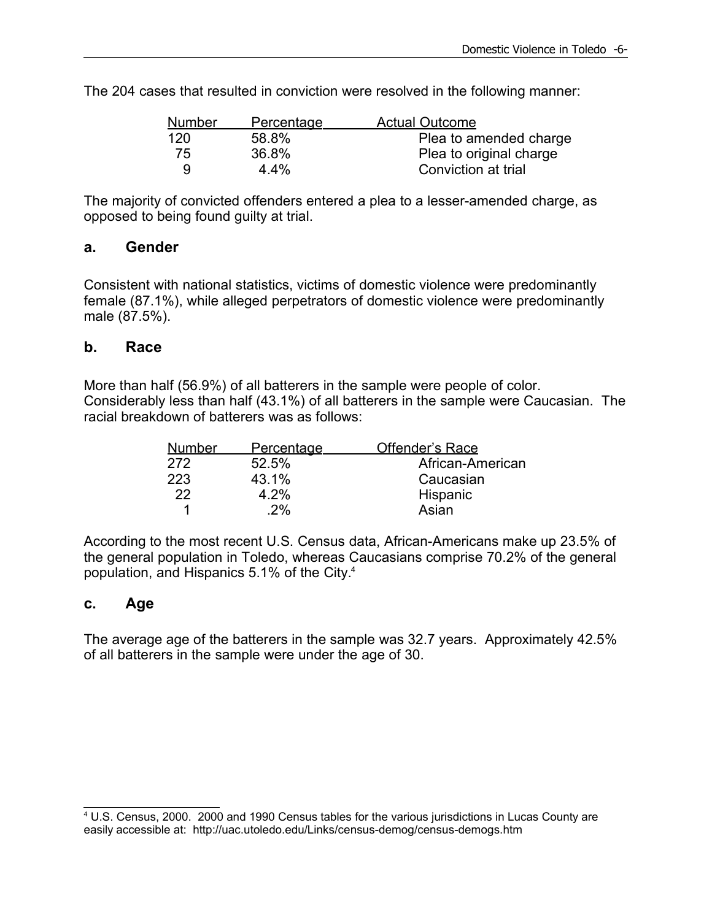The 204 cases that resulted in conviction were resolved in the following manner:

| <b>Number</b> | <b>Percentage</b> | <b>Actual Outcome</b>   |
|---------------|-------------------|-------------------------|
| 120           | 58.8%             | Plea to amended charge  |
| 75            | 36.8%             | Plea to original charge |
| q             | $4.4\%$           | Conviction at trial     |

The majority of convicted offenders entered a plea to a lesser-amended charge, as opposed to being found guilty at trial.

#### **a. Gender**

Consistent with national statistics, victims of domestic violence were predominantly female (87.1%), while alleged perpetrators of domestic violence were predominantly male (87.5%).

#### **b. Race**

More than half (56.9%) of all batterers in the sample were people of color. Considerably less than half (43.1%) of all batterers in the sample were Caucasian. The racial breakdown of batterers was as follows:

| <b>Number</b> | Percentage | Offender's Race  |
|---------------|------------|------------------|
| 272           | 52.5%      | African-American |
| 223           | 43.1%      | Caucasian        |
| 22            | 4.2%       | Hispanic         |
| 1             | .2%        | Asian            |

According to the most recent U.S. Census data, African-Americans make up 23.5% of the general population in Toledo, whereas Caucasians comprise 70.2% of the general population, and Hispanics 5.1% of the City. 4

#### **c. Age**

The average age of the batterers in the sample was 32.7 years. Approximately 42.5% of all batterers in the sample were under the age of 30.

<sup>4</sup> U.S. Census, 2000. 2000 and 1990 Census tables for the various jurisdictions in Lucas County are easily accessible at: http://uac.utoledo.edu/Links/census-demog/census-demogs.htm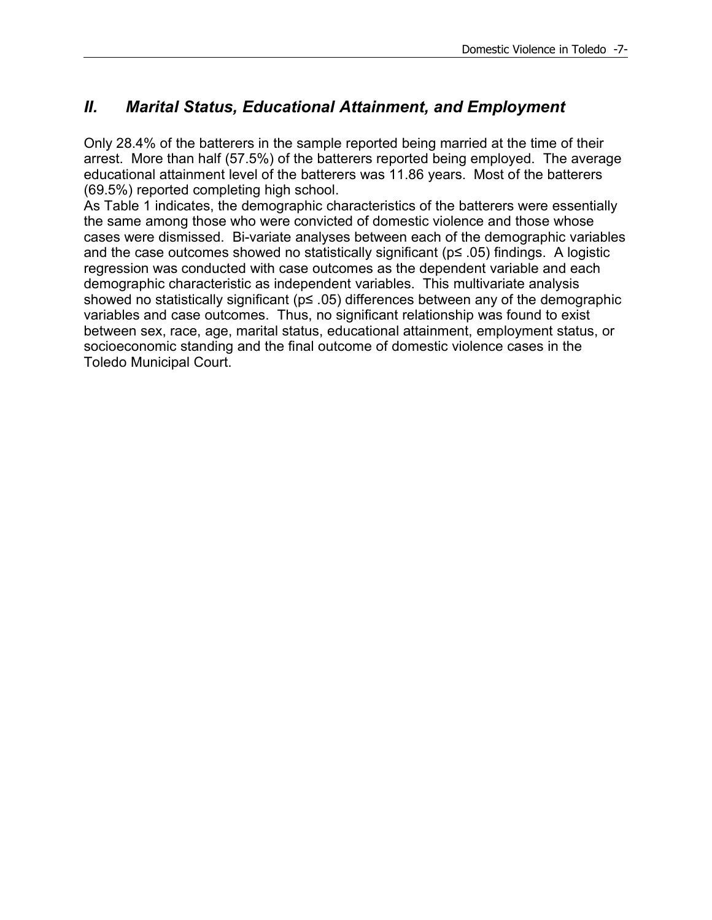## *II. Marital Status, Educational Attainment, and Employment*

Only 28.4% of the batterers in the sample reported being married at the time of their arrest. More than half (57.5%) of the batterers reported being employed. The average educational attainment level of the batterers was 11.86 years. Most of the batterers (69.5%) reported completing high school.

As Table 1 indicates, the demographic characteristics of the batterers were essentially the same among those who were convicted of domestic violence and those whose cases were dismissed. Bi-variate analyses between each of the demographic variables and the case outcomes showed no statistically significant ( $p \le 0.05$ ) findings. A logistic regression was conducted with case outcomes as the dependent variable and each demographic characteristic as independent variables. This multivariate analysis showed no statistically significant (p≤ .05) differences between any of the demographic variables and case outcomes. Thus, no significant relationship was found to exist between sex, race, age, marital status, educational attainment, employment status, or socioeconomic standing and the final outcome of domestic violence cases in the Toledo Municipal Court.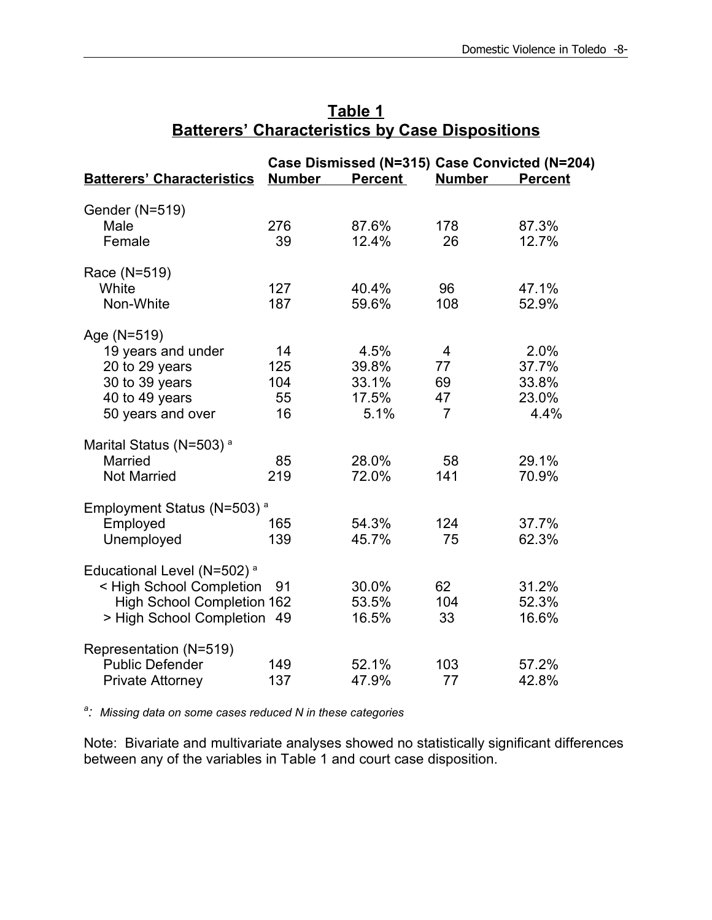| <b>Batterers' Characteristics</b>      | <b>Number</b> | Case Dismissed (N=315) Case Convicted (N=204)<br><b>Percent</b> | <b>Number</b>  | <b>Percent</b> |
|----------------------------------------|---------------|-----------------------------------------------------------------|----------------|----------------|
|                                        |               |                                                                 |                |                |
| Gender (N=519)                         |               |                                                                 |                |                |
| Male                                   | 276           | 87.6%                                                           | 178            | 87.3%          |
| Female                                 | 39            | 12.4%                                                           | 26             | 12.7%          |
| Race (N=519)                           |               |                                                                 |                |                |
| White                                  | 127           | 40.4%                                                           | 96             | 47.1%          |
| Non-White                              | 187           | 59.6%                                                           | 108            | 52.9%          |
| Age (N=519)                            |               |                                                                 |                |                |
| 19 years and under                     | 14            | 4.5%                                                            | $\overline{4}$ | 2.0%           |
| 20 to 29 years                         | 125           | 39.8%                                                           | 77             | 37.7%          |
| 30 to 39 years                         | 104           | 33.1%                                                           | 69             | 33.8%          |
| 40 to 49 years                         | 55            | 17.5%                                                           | 47             | 23.0%          |
| 50 years and over                      | 16            | 5.1%                                                            | 7              | 4.4%           |
| Marital Status (N=503) <sup>a</sup>    |               |                                                                 |                |                |
| <b>Married</b>                         | 85            | 28.0%                                                           | 58             | 29.1%          |
| <b>Not Married</b>                     | 219           | 72.0%                                                           | 141            | 70.9%          |
| Employment Status (N=503) <sup>a</sup> |               |                                                                 |                |                |
| Employed                               | 165           | 54.3%                                                           | 124            | 37.7%          |
| Unemployed                             | 139           | 45.7%                                                           | 75             | 62.3%          |
| Educational Level (N=502) <sup>a</sup> |               |                                                                 |                |                |
| < High School Completion               | 91            | 30.0%                                                           | 62             | 31.2%          |
| <b>High School Completion 162</b>      |               | 53.5%                                                           | 104            | 52.3%          |
| > High School Completion 49            |               | 16.5%                                                           | 33             | 16.6%          |
| Representation (N=519)                 |               |                                                                 |                |                |
| <b>Public Defender</b>                 | 149           | 52.1%                                                           | 103            | 57.2%          |
| <b>Private Attorney</b>                | 137           | 47.9%                                                           | 77             | 42.8%          |

## **Table 1 Batterers' Characteristics by Case Dispositions**

*a : Missing data on some cases reduced N in these categories*

Note: Bivariate and multivariate analyses showed no statistically significant differences between any of the variables in Table 1 and court case disposition.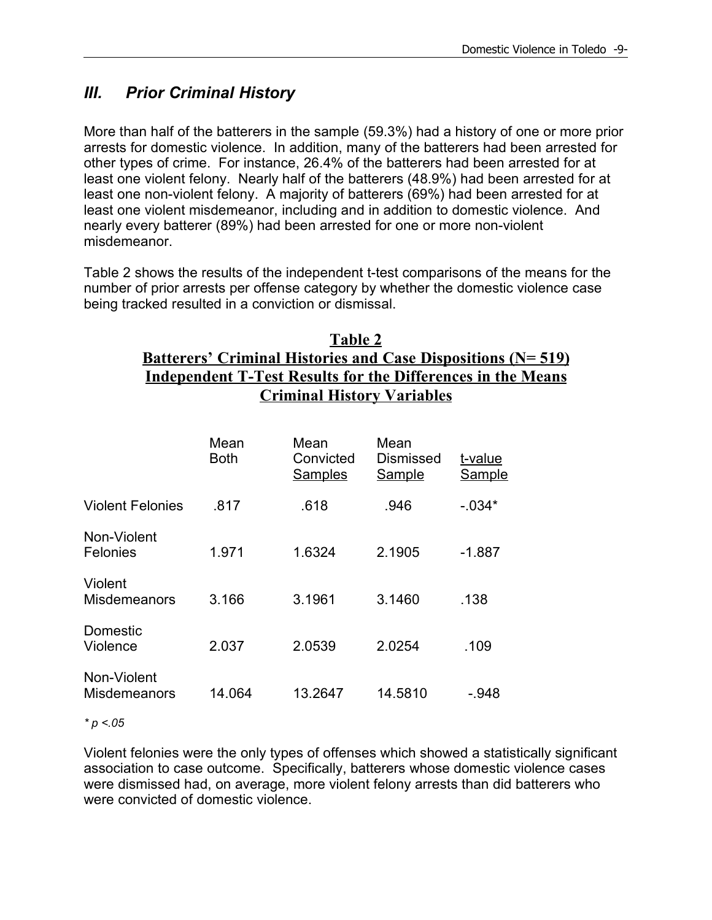## *III. Prior Criminal History*

More than half of the batterers in the sample (59.3%) had a history of one or more prior arrests for domestic violence. In addition, many of the batterers had been arrested for other types of crime. For instance, 26.4% of the batterers had been arrested for at least one violent felony. Nearly half of the batterers (48.9%) had been arrested for at least one non-violent felony. A majority of batterers (69%) had been arrested for at least one violent misdemeanor, including and in addition to domestic violence. And nearly every batterer (89%) had been arrested for one or more non-violent misdemeanor.

Table 2 shows the results of the independent t-test comparisons of the means for the number of prior arrests per offense category by whether the domestic violence case being tracked resulted in a conviction or dismissal.

### **Table 2 Batterers' Criminal Histories and Case Dispositions (N= 519) Independent T-Test Results for the Differences in the Means Criminal History Variables**

|                                    | Mean<br><b>Both</b> | Mean<br>Convicted<br><b>Samples</b> | Mean<br>Dismissed<br><b>Sample</b> | t-value<br>Sample |
|------------------------------------|---------------------|-------------------------------------|------------------------------------|-------------------|
| <b>Violent Felonies</b>            | .817                | .618                                | .946                               | $-034*$           |
| Non-Violent<br>Felonies            | 1.971               | 1.6324                              | 2.1905                             | $-1.887$          |
| Violent<br><b>Misdemeanors</b>     | 3.166               | 3.1961                              | 3.1460                             | .138              |
| Domestic<br>Violence               | 2.037               | 2.0539                              | 2.0254                             | .109              |
| Non-Violent<br><b>Misdemeanors</b> | 14.064              | 13.2647                             | 14.5810                            | $-.948$           |

*\* p <.05*

Violent felonies were the only types of offenses which showed a statistically significant association to case outcome. Specifically, batterers whose domestic violence cases were dismissed had, on average, more violent felony arrests than did batterers who were convicted of domestic violence.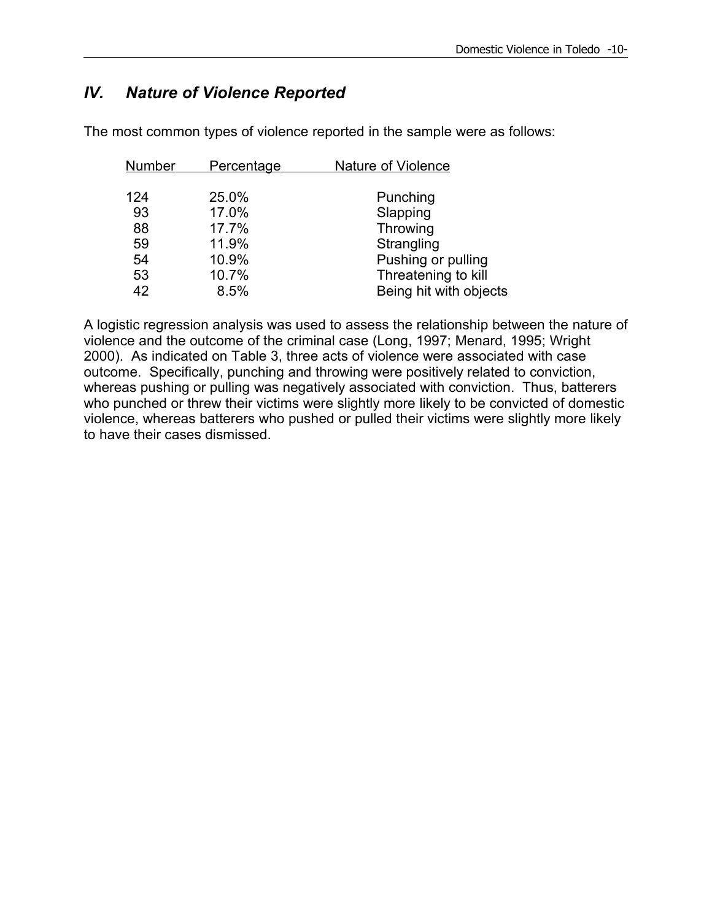## *IV. Nature of Violence Reported*

The most common types of violence reported in the sample were as follows:

| <b>Number</b><br><b>Percentage</b> | <b>Nature of Violence</b> |
|------------------------------------|---------------------------|
|                                    |                           |
| 124<br>25.0%                       | Punching                  |
| 93<br>17.0%                        | Slapping                  |
| 88<br>17.7%                        | Throwing                  |
| 11.9%<br>59                        | Strangling                |
| 10.9%<br>54                        | Pushing or pulling        |
| 10.7%<br>53                        | Threatening to kill       |
| 42<br>8.5%                         | Being hit with objects    |

A logistic regression analysis was used to assess the relationship between the nature of violence and the outcome of the criminal case (Long, 1997; Menard, 1995; Wright 2000). As indicated on Table 3, three acts of violence were associated with case outcome. Specifically, punching and throwing were positively related to conviction, whereas pushing or pulling was negatively associated with conviction. Thus, batterers who punched or threw their victims were slightly more likely to be convicted of domestic violence, whereas batterers who pushed or pulled their victims were slightly more likely to have their cases dismissed.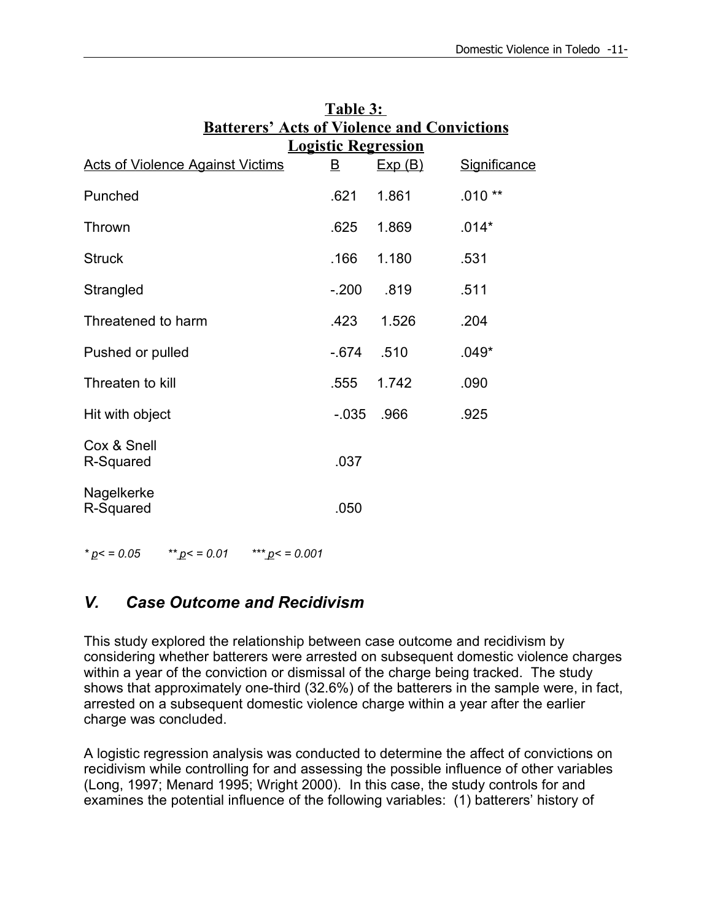| $\overline{\mathsf{B}}$ | Exp(B) | <b>Significance</b>                                                              |
|-------------------------|--------|----------------------------------------------------------------------------------|
| .621                    | 1.861  | $.010**$                                                                         |
| .625                    | 1.869  | $.014*$                                                                          |
| .166                    | 1.180  | .531                                                                             |
| $-.200$                 | .819   | .511                                                                             |
| .423                    | 1.526  | .204                                                                             |
| $-674$                  | .510   | $.049*$                                                                          |
| .555                    | 1.742  | .090                                                                             |
| $-0.035$                | .966   | .925                                                                             |
| .037                    |        |                                                                                  |
| .050                    |        |                                                                                  |
|                         |        | <b>Batterers' Acts of Violence and Convictions</b><br><b>Logistic Regression</b> |

# **Table 3:**  $\mathbf{B} \times \mathbf{A} \times \mathbf{C}$

*\* p< = 0.05 \*\* p< = 0.01 \*\*\* p< = 0.001*

## *V. Case Outcome and Recidivism*

This study explored the relationship between case outcome and recidivism by considering whether batterers were arrested on subsequent domestic violence charges within a year of the conviction or dismissal of the charge being tracked. The study shows that approximately one-third (32.6%) of the batterers in the sample were, in fact, arrested on a subsequent domestic violence charge within a year after the earlier charge was concluded.

A logistic regression analysis was conducted to determine the affect of convictions on recidivism while controlling for and assessing the possible influence of other variables (Long, 1997; Menard 1995; Wright 2000). In this case, the study controls for and examines the potential influence of the following variables: (1) batterers' history of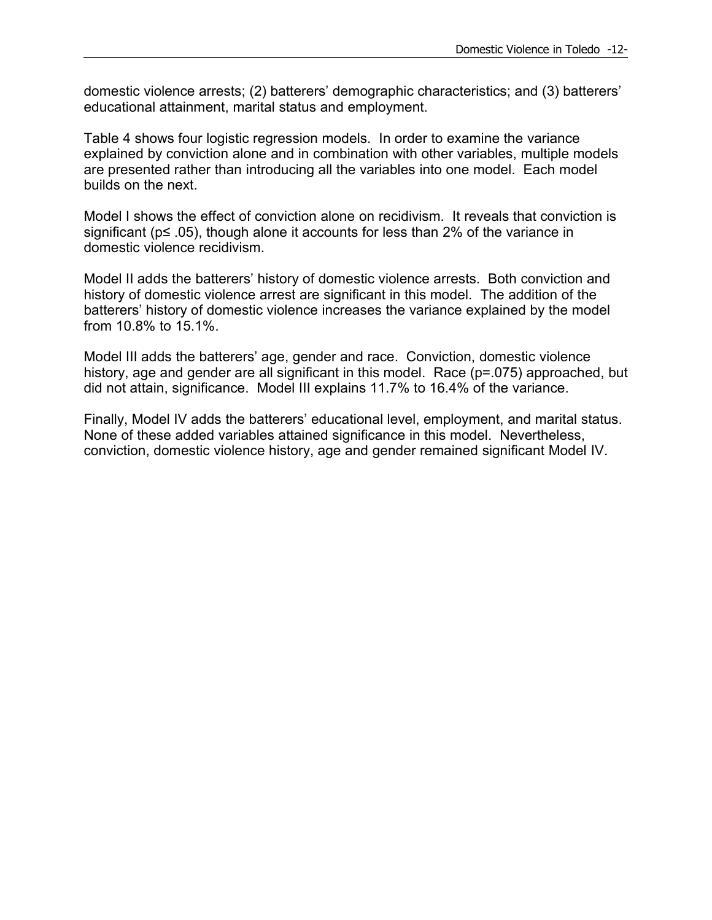domestic violence arrests; (2) batterers' demographic characteristics; and (3) batterers' educational attainment, marital status and employment.

Table 4 shows four logistic regression models. In order to examine the variance explained by conviction alone and in combination with other variables, multiple models are presented rather than introducing all the variables into one model. Each model builds on the next.

Model I shows the effect of conviction alone on recidivism. It reveals that conviction is significant (p≤ .05), though alone it accounts for less than 2% of the variance in domestic violence recidivism.

Model II adds the batterers' history of domestic violence arrests. Both conviction and history of domestic violence arrest are significant in this model. The addition of the batterers' history of domestic violence increases the variance explained by the model from 10.8% to 15.1%.

Model III adds the batterers' age, gender and race. Conviction, domestic violence history, age and gender are all significant in this model. Race (p=.075) approached, but did not attain, significance. Model III explains 11.7% to 16.4% of the variance.

Finally, Model IV adds the batterers' educational level, employment, and marital status. None of these added variables attained significance in this model. Nevertheless, conviction, domestic violence history, age and gender remained significant Model IV.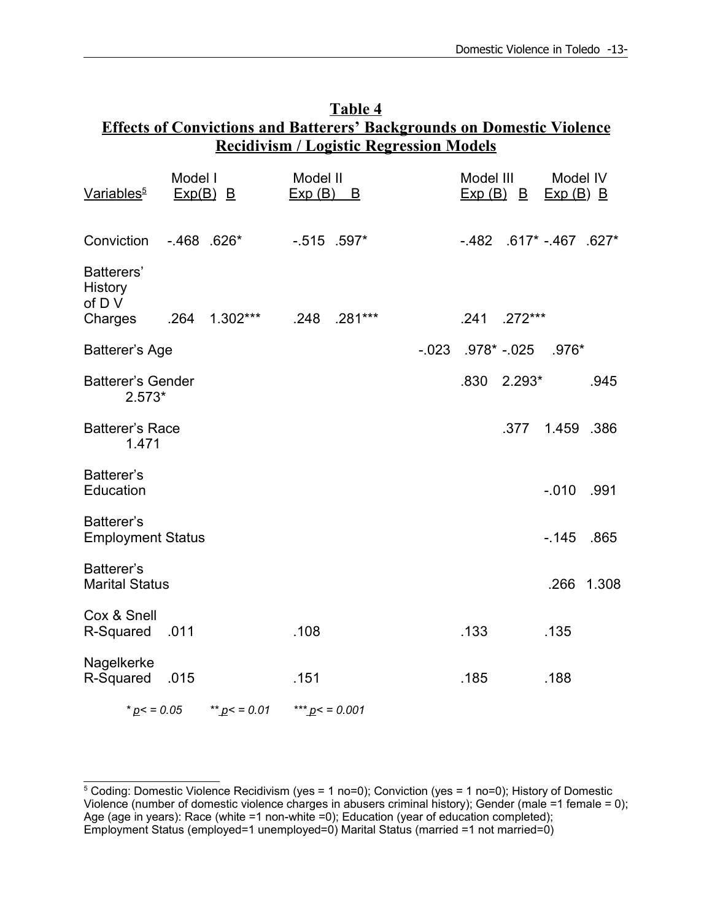| Table 4                                                                       |  |  |  |  |
|-------------------------------------------------------------------------------|--|--|--|--|
| <b>Effects of Convictions and Batterers' Backgrounds on Domestic Violence</b> |  |  |  |  |
| <b>Recidivism / Logistic Regression Models</b>                                |  |  |  |  |

| Variables <sup>5</sup>                            | Model I<br>$Exp(B)$ B |                 | Model II<br>Exp(B) | B            | Model III | $Exp(B)$ B                    | Model IV<br>$Exp(B)$ B |            |
|---------------------------------------------------|-----------------------|-----------------|--------------------|--------------|-----------|-------------------------------|------------------------|------------|
| Conviction                                        | $-468$ .626*          |                 | $-515$ .597*       |              |           | $-482$ .617* $-467$ .627*     |                        |            |
| Batterers'<br><b>History</b><br>of D V<br>Charges |                       |                 |                    | .248 .281*** |           | .241 .272***                  |                        |            |
|                                                   |                       |                 |                    |              |           |                               |                        |            |
| <b>Batterer's Age</b>                             |                       |                 |                    |              |           | $-023$ $.978*$ $-025$ $.976*$ |                        |            |
| <b>Batterer's Gender</b><br>$2.573*$              |                       |                 |                    |              |           | $.830$ $2.293*$               |                        | .945       |
| <b>Batterer's Race</b><br>1.471                   |                       |                 |                    |              |           |                               | .377  1.459  .386      |            |
| Batterer's<br>Education                           |                       |                 |                    |              |           |                               | $-010$ .991            |            |
| Batterer's<br><b>Employment Status</b>            |                       |                 |                    |              |           |                               | $-145$ .865            |            |
| Batterer's<br><b>Marital Status</b>               |                       |                 |                    |              |           |                               |                        | .266 1.308 |
| Cox & Snell<br>R-Squared .011                     |                       |                 | .108               |              | .133      |                               | .135                   |            |
| Nagelkerke<br>R-Squared .015                      |                       |                 | .151               |              | .185      |                               | .188                   |            |
| * $p$ < = 0.05                                    |                       | ** $p$ < = 0.01 | *** $p$ < = 0.001  |              |           |                               |                        |            |

<sup>5</sup> Coding: Domestic Violence Recidivism (yes = 1 no=0); Conviction (yes = 1 no=0); History of Domestic Violence (number of domestic violence charges in abusers criminal history); Gender (male =1 female = 0); Age (age in years): Race (white =1 non-white =0); Education (year of education completed); Employment Status (employed=1 unemployed=0) Marital Status (married =1 not married=0)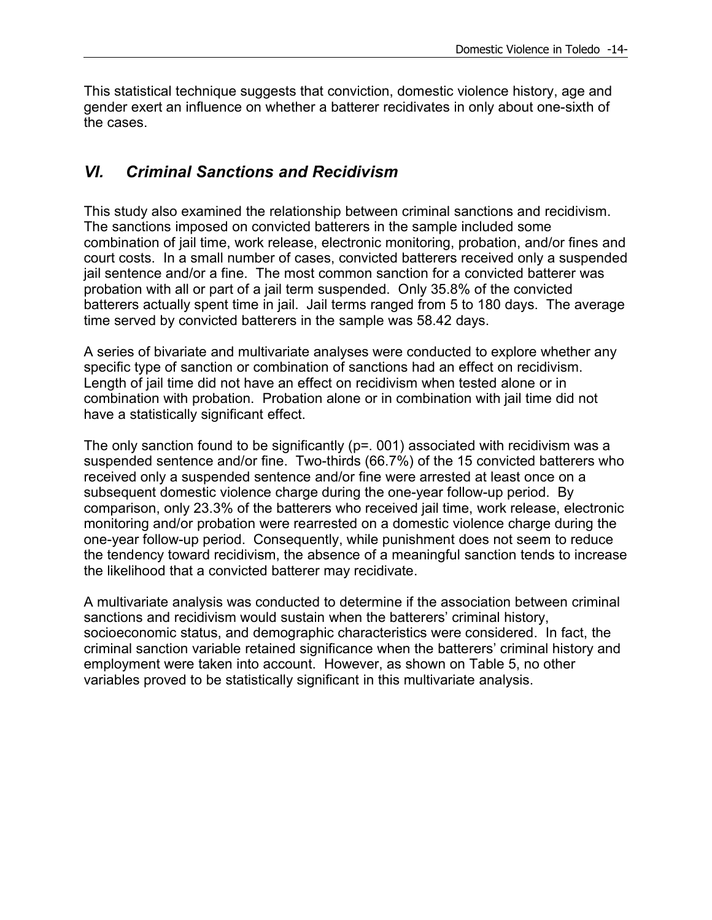This statistical technique suggests that conviction, domestic violence history, age and gender exert an influence on whether a batterer recidivates in only about one-sixth of the cases.

### *VI. Criminal Sanctions and Recidivism*

This study also examined the relationship between criminal sanctions and recidivism. The sanctions imposed on convicted batterers in the sample included some combination of jail time, work release, electronic monitoring, probation, and/or fines and court costs. In a small number of cases, convicted batterers received only a suspended jail sentence and/or a fine. The most common sanction for a convicted batterer was probation with all or part of a jail term suspended. Only 35.8% of the convicted batterers actually spent time in jail. Jail terms ranged from 5 to 180 days. The average time served by convicted batterers in the sample was 58.42 days.

A series of bivariate and multivariate analyses were conducted to explore whether any specific type of sanction or combination of sanctions had an effect on recidivism. Length of jail time did not have an effect on recidivism when tested alone or in combination with probation. Probation alone or in combination with jail time did not have a statistically significant effect.

The only sanction found to be significantly ( $p=$  001) associated with recidivism was a suspended sentence and/or fine. Two-thirds (66.7%) of the 15 convicted batterers who received only a suspended sentence and/or fine were arrested at least once on a subsequent domestic violence charge during the one-year follow-up period. By comparison, only 23.3% of the batterers who received jail time, work release, electronic monitoring and/or probation were rearrested on a domestic violence charge during the one-year follow-up period. Consequently, while punishment does not seem to reduce the tendency toward recidivism, the absence of a meaningful sanction tends to increase the likelihood that a convicted batterer may recidivate.

A multivariate analysis was conducted to determine if the association between criminal sanctions and recidivism would sustain when the batterers' criminal history, socioeconomic status, and demographic characteristics were considered. In fact, the criminal sanction variable retained significance when the batterers' criminal history and employment were taken into account. However, as shown on Table 5, no other variables proved to be statistically significant in this multivariate analysis.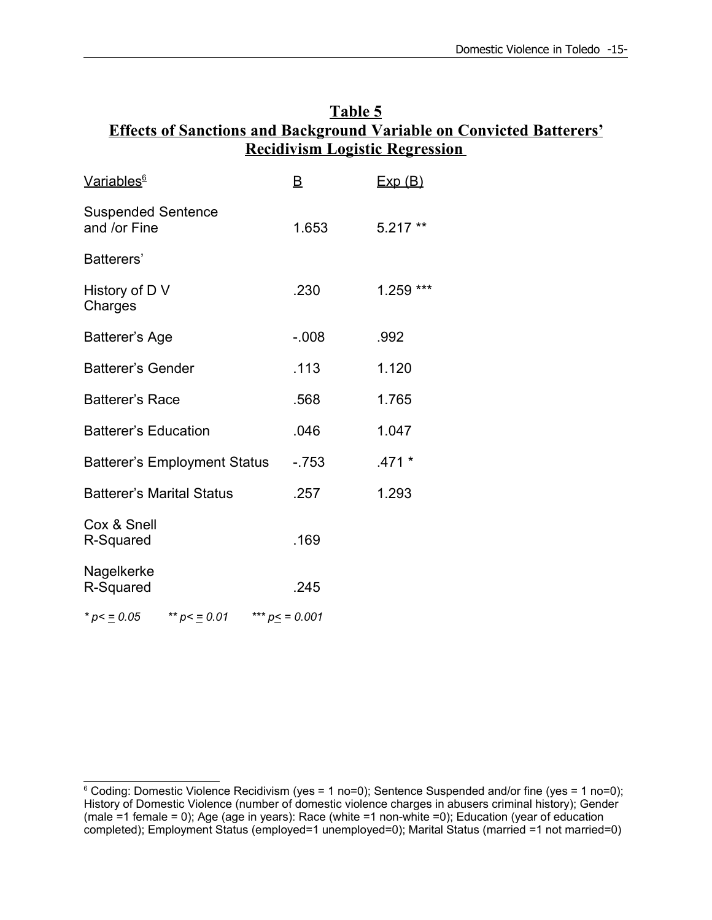| Table 5                                                                     |
|-----------------------------------------------------------------------------|
| <b>Effects of Sanctions and Background Variable on Convicted Batterers'</b> |
| <b>Recidivism Logistic Regression</b>                                       |

| <u>Variables<sup>6</sup></u>              |                                     | B                 | Exp(B)    |
|-------------------------------------------|-------------------------------------|-------------------|-----------|
| <b>Suspended Sentence</b><br>and /or Fine |                                     | 1.653             | $5.217**$ |
| Batterers'                                |                                     |                   |           |
| History of D V<br>Charges                 |                                     | .230              | 1.259 *** |
| Batterer's Age                            |                                     | $-0.08$           | .992      |
| <b>Batterer's Gender</b>                  |                                     | .113              | 1.120     |
| <b>Batterer's Race</b>                    |                                     | .568              | 1.765     |
| <b>Batterer's Education</b>               |                                     | .046              | 1.047     |
|                                           | <b>Batterer's Employment Status</b> | $-753$            | $.471*$   |
| <b>Batterer's Marital Status</b>          |                                     | .257              | 1.293     |
| Cox & Snell<br>R-Squared                  |                                     | .169              |           |
| Nagelkerke<br>R-Squared                   |                                     | .245              |           |
| * $p < \equiv 0.05$                       | ** $p < \equiv 0.01$                | *** $p \le 0.001$ |           |

 $6$  Coding: Domestic Violence Recidivism (yes = 1 no=0); Sentence Suspended and/or fine (yes = 1 no=0); History of Domestic Violence (number of domestic violence charges in abusers criminal history); Gender (male =1 female = 0); Age (age in years): Race (white =1 non-white =0); Education (year of education completed); Employment Status (employed=1 unemployed=0); Marital Status (married =1 not married=0)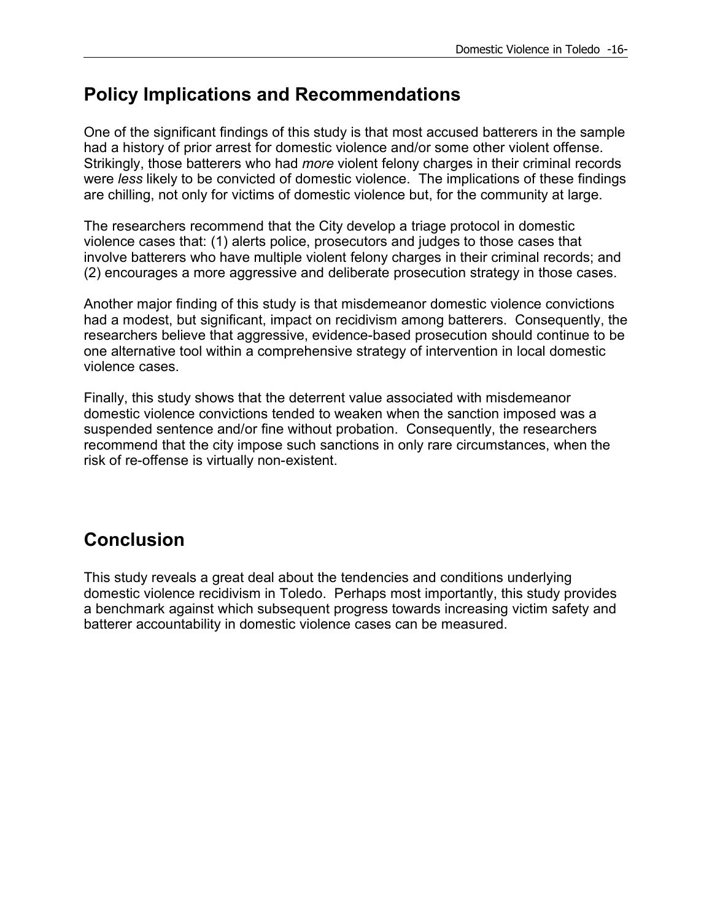## **Policy Implications and Recommendations**

One of the significant findings of this study is that most accused batterers in the sample had a history of prior arrest for domestic violence and/or some other violent offense. Strikingly, those batterers who had *more* violent felony charges in their criminal records were *less* likely to be convicted of domestic violence. The implications of these findings are chilling, not only for victims of domestic violence but, for the community at large.

The researchers recommend that the City develop a triage protocol in domestic violence cases that: (1) alerts police, prosecutors and judges to those cases that involve batterers who have multiple violent felony charges in their criminal records; and (2) encourages a more aggressive and deliberate prosecution strategy in those cases.

Another major finding of this study is that misdemeanor domestic violence convictions had a modest, but significant, impact on recidivism among batterers. Consequently, the researchers believe that aggressive, evidence-based prosecution should continue to be one alternative tool within a comprehensive strategy of intervention in local domestic violence cases.

Finally, this study shows that the deterrent value associated with misdemeanor domestic violence convictions tended to weaken when the sanction imposed was a suspended sentence and/or fine without probation. Consequently, the researchers recommend that the city impose such sanctions in only rare circumstances, when the risk of re-offense is virtually non-existent.

## **Conclusion**

This study reveals a great deal about the tendencies and conditions underlying domestic violence recidivism in Toledo. Perhaps most importantly, this study provides a benchmark against which subsequent progress towards increasing victim safety and batterer accountability in domestic violence cases can be measured.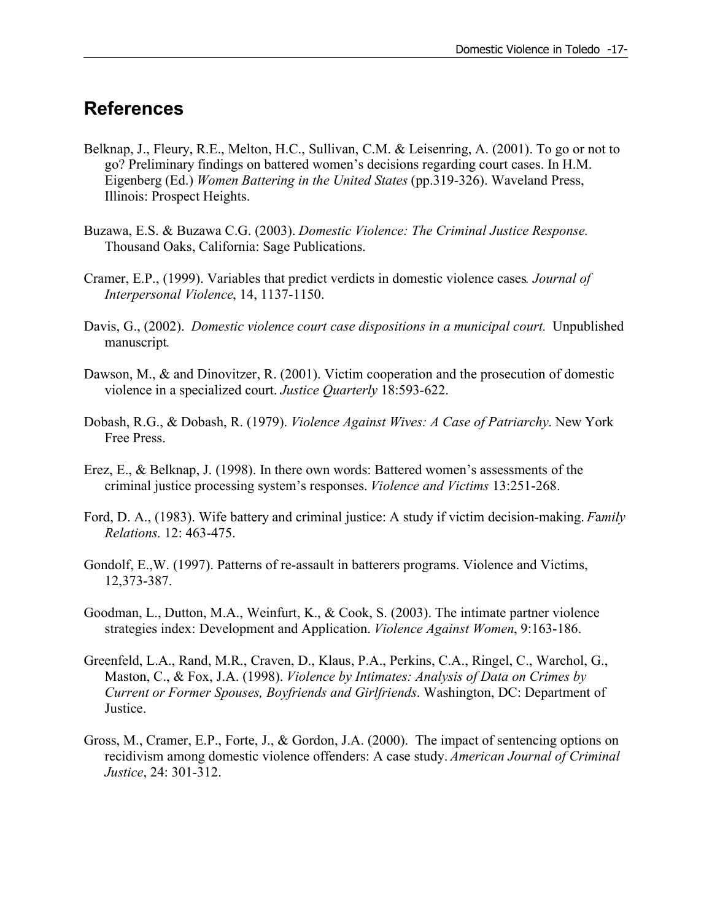## **References**

- Belknap, J., Fleury, R.E., Melton, H.C., Sullivan, C.M. & Leisenring, A. (2001). To go or not to go? Preliminary findings on battered women's decisions regarding court cases. In H.M. Eigenberg (Ed.) *Women Battering in the United States* (pp.319-326). Waveland Press, Illinois: Prospect Heights.
- Buzawa, E.S. & Buzawa C.G. (2003). *Domestic Violence: The Criminal Justice Response.* Thousand Oaks, California: Sage Publications.
- Cramer, E.P., (1999). Variables that predict verdicts in domestic violence cases*. Journal of Interpersonal Violence*, 14, 1137-1150.
- Davis, G., (2002). *Domestic violence court case dispositions in a municipal court.* Unpublished manuscript*.*
- Dawson, M., & and Dinovitzer, R. (2001). Victim cooperation and the prosecution of domestic violence in a specialized court. *Justice Quarterly* 18:593-622.
- Dobash, R.G., & Dobash, R. (1979). *Violence Against Wives: A Case of Patriarchy*. New York Free Press.
- Erez, E., & Belknap, J. (1998). In there own words: Battered women's assessments of the criminal justice processing system's responses. *Violence and Victims* 13:251-268.
- Ford, D. A., (1983). Wife battery and criminal justice: A study if victim decision-making. *F*a*mily Relations.* 12: 463-475.
- Gondolf, E.,W. (1997). Patterns of re-assault in batterers programs. Violence and Victims, 12,373-387.
- Goodman, L., Dutton, M.A., Weinfurt, K., & Cook, S. (2003). The intimate partner violence strategies index: Development and Application. *Violence Against Women*, 9:163-186.
- Greenfeld, L.A., Rand, M.R., Craven, D., Klaus, P.A., Perkins, C.A., Ringel, C., Warchol, G., Maston, C., & Fox, J.A. (1998). *Violence by Intimates: Analysis of Data on Crimes by Current or Former Spouses, Boyfriends and Girlfriends*. Washington, DC: Department of Justice.
- Gross, M., Cramer, E.P., Forte, J., & Gordon, J.A. (2000). The impact of sentencing options on recidivism among domestic violence offenders: A case study. *American Journal of Criminal Justice*, 24: 301-312.